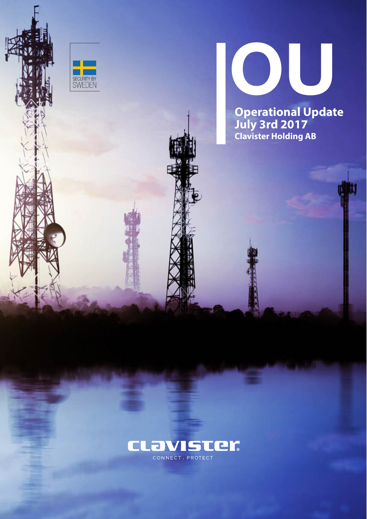



**Operational Update July 3rd 2017 Clavister Holding AB**

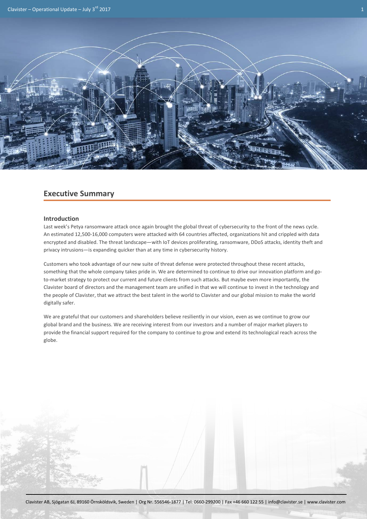

# **Executive Summary**

## **Introduction**

Last week's Petya ransomware attack once again brought the global threat of cybersecurity to the front of the news cycle. An estimated 12,500-16,000 computers were attacked with 64 countries affected, organizations hit and crippled with data encrypted and disabled. The threat landscape—with IoT devices proliferating, ransomware, DDoS attacks, identity theft and privacy intrusions—is expanding quicker than at any time in cybersecurity history.

Customers who took advantage of our new suite of threat defense were protected throughout these recent attacks, something that the whole company takes pride in. We are determined to continue to drive our innovation platform and goto-market strategy to protect our current and future clients from such attacks. But maybe even more importantly, the Clavister board of directors and the management team are unified in that we will continue to invest in the technology and the people of Clavister, that we attract the best talent in the world to Clavister and our global mission to make the world digitally safer.

We are grateful that our customers and shareholders believe resiliently in our vision, even as we continue to grow our global brand and the business. We are receiving interest from our investors and a number of major market players to provide the financial support required for the company to continue to grow and extend its technological reach across the globe.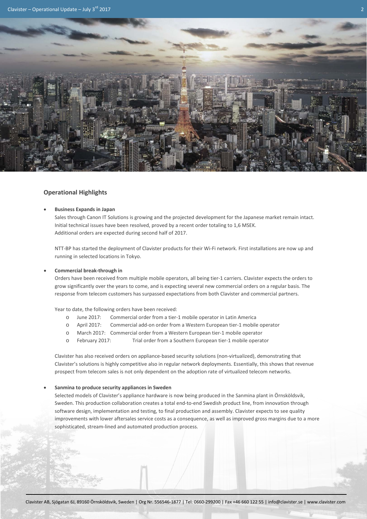

## **Operational Highlights**

## • **Business Expands in Japan**

Sales through Canon IT Solutions is growing and the projected development for the Japanese market remain intact. Initial technical issues have been resolved, proved by a recent order totaling to 1,6 MSEK. Additional orders are expected during second half of 2017.

NTT-BP has started the deployment of Clavister products for their Wi-Fi network. First installations are now up and running in selected locations in Tokyo.

### • **Commercial break-through in**

Orders have been received from multiple mobile operators, all being tier-1 carriers. Clavister expects the orders to grow significantly over the years to come, and is expecting several new commercial orders on a regular basis. The response from telecom customers has surpassed expectations from both Clavister and commercial partners.

Year to date, the following orders have been received:

- o June 2017: Commercial order from a tier-1 mobile operator in Latin America
- o April 2017: Commercial add-on order from a Western European tier-1 mobile operator
- o March 2017: Commercial order from a Western European tier-1 mobile operator
- o February 2017: Trial order from a Southern European tier-1 mobile operator

Clavister has also received orders on appliance-based security solutions (non-virtualized), demonstrating that Clavister's solutions is highly competitive also in regular network deployments. Essentially, this shows that revenue prospect from telecom sales is not only dependent on the adoption rate of virtualized telecom networks.

### • **Sanmina to produce security appliances in Sweden**

Selected models of Clavister's appliance hardware is now being produced in the Sanmina plant in Örnsköldsvik, Sweden. This production collaboration creates a total end-to-end Swedish product line, from innovation through software design, implementation and testing, to final production and assembly. Clavister expects to see quality improvements with lower aftersales service costs as a consequence, as well as improved gross margins due to a more sophisticated, stream-lined and automated production process.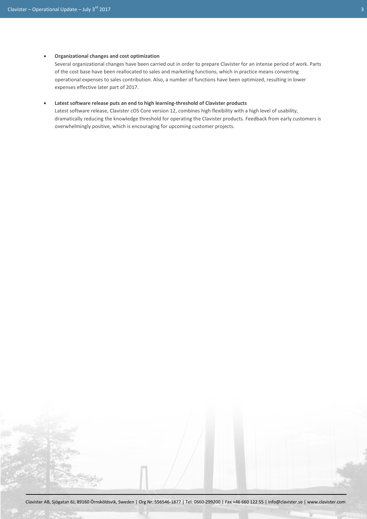### • **Organizational changes and cost optimization**

Several organizational changes have been carried out in order to prepare Clavister for an intense period of work. Parts of the cost base have been reallocated to sales and marketing functions, which in practice means converting operational expenses to sales contribution. Also, a number of functions have been optimized, resulting in lower expenses effective later part of 2017.

### • **Latest software release puts an end to high learning-threshold of Clavister products**

Latest software release, Clavister cOS Core version 12, combines high flexibility with a high level of usability, dramatically reducing the knowledge threshold for operating the Clavister products. Feedback from early customers is overwhelmingly positive, which is encouraging for upcoming customer projects.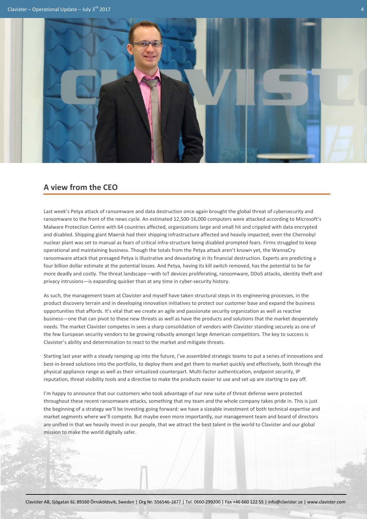

# **A view from the CEO**

Last week's Petya attack of ransomware and data destruction once again brought the global threat of cybersecurity and ransomware to the front of the news cycle. An estimated 12,500-16,000 computers were attacked according to Microsoft's Malware Protection Centre with 64 countries affected, organizations large and small hit and crippled with data encrypted and disabled. Shipping giant Maersk had their shipping infrastructure affected and heavily impacted; even the Chernobyl nuclear plant was set to manual as fears of critical infra-structure being disabled prompted fears. Firms struggled to keep operational and maintaining business. Though the totals from the Petya attack aren't known yet, the WannaCry ransomware attack that presaged Petya is illustrative and devastating in its financial destruction. Experts are predicting a four billion dollar estimate at the potential losses. And Petya, having its kill switch removed, has the potential to be far more deadly and costly. The threat landscape—with IoT devices proliferating, ransomware, DDoS attacks, identity theft and privacy intrusions—is expanding quicker than at any time in cyber-security history.

As such, the management team at Clavister and myself have taken structural steps in its engineering processes, in the product discovery terrain and in developing innovation initiatives to protect our customer base and expand the business opportunities that affords. It's vital that we create an agile and passionate security organization as well as reactive business—one that can pivot to these new threats as well as have the products and solutions that the market desperately needs. The market Clavister competes in sees a sharp consolidation of vendors with Clavister standing securely as one of the few European security vendors to be growing robustly amongst large American competitors. The key to success is Clavister's ability and determination to react to the market and mitigate threats.

Starting last year with a steady ramping up into the future, I've assembled strategic teams to put a series of innovations and best-in-breed solutions into the portfolio, to deploy them and get them to market quickly and effectively, both through the physical appliance range as well as their virtualized counterpart. Multi-factor authentication, endpoint security, IP reputation, threat visibility tools and a directive to make the products easier to use and set up are starting to pay off.

I'm happy to announce that our customers who took advantage of our new suite of threat defense were protected throughout these recent ransomware attacks, something that my team and the whole company takes pride in. This is just the beginning of a strategy we'll be investing going forward: we have a sizeable investment of both technical expertise and market segments where we'll compete. But maybe even more importantly, our management team and board of directors are unified in that we heavily invest in our people, that we attract the best talent in the world to Clavister and our global mission to make the world digitally safer.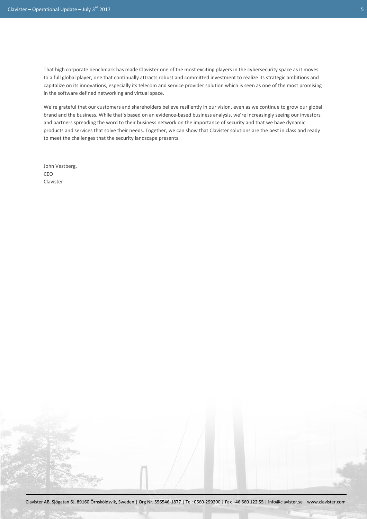That high corporate benchmark has made Clavister one of the most exciting players in the cybersecurity space as it moves to a full global player, one that continually attracts robust and committed investment to realize its strategic ambitions and capitalize on its innovations, especially its telecom and service provider solution which is seen as one of the most promising in the software defined networking and virtual space.

We're grateful that our customers and shareholders believe resiliently in our vision, even as we continue to grow our global brand and the business. While that's based on an evidence-based business analysis, we're increasingly seeing our investors and partners spreading the word to their business network on the importance of security and that we have dynamic products and services that solve their needs. Together, we can show that Clavister solutions are the best in class and ready to meet the challenges that the security landscape presents.

John Vestberg, CEO Clavister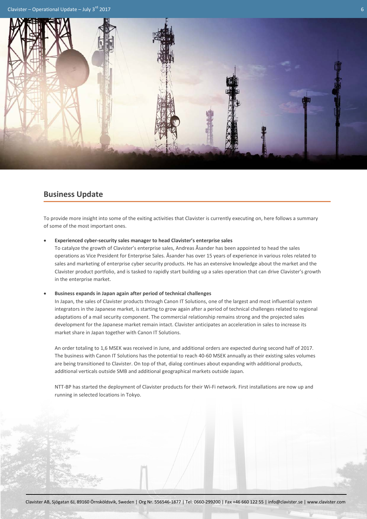

# **Business Update**

To provide more insight into some of the exiting activities that Clavister is currently executing on, here follows a summary of some of the most important ones.

• **Experienced cyber-security sales manager to head Clavister's enterprise sales**

To catalyze the growth of Clavister's enterprise sales, Andreas Åsander has been appointed to head the sales operations as Vice President for Enterprise Sales. Åsander has over 15 years of experience in various roles related to sales and marketing of enterprise cyber security products. He has an extensive knowledge about the market and the Clavister product portfolio, and is tasked to rapidly start building up a sales operation that can drive Clavister's growth in the enterprise market.

• **Business expands in Japan again after period of technical challenges**

In Japan, the sales of Clavister products through Canon IT Solutions, one of the largest and most influential system integrators in the Japanese market, is starting to grow again after a period of technical challenges related to regional adaptations of a mail security component. The commercial relationship remains strong and the projected sales development for the Japanese market remain intact. Clavister anticipates an acceleration in sales to increase its market share in Japan together with Canon IT Solutions.

An order totaling to 1,6 MSEK was received in June, and additional orders are expected during second half of 2017. The business with Canon IT Solutions has the potential to reach 40-60 MSEK annually as their existing sales volumes are being transitioned to Clavister. On top of that, dialog continues about expanding with additional products, additional verticals outside SMB and additional geographical markets outside Japan.

NTT-BP has started the deployment of Clavister products for their Wi-Fi network. First installations are now up and running in selected locations in Tokyo.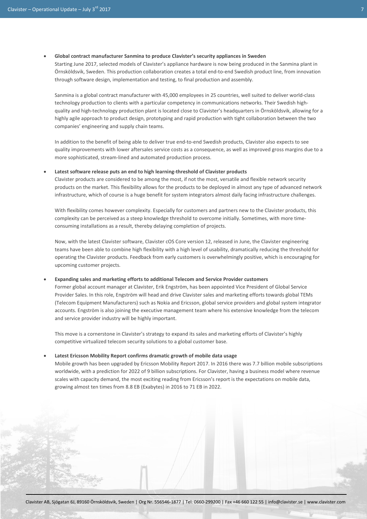#### • **Global contract manufacturer Sanmina to produce Clavister's security appliances in Sweden**

Starting June 2017, selected models of Clavister's appliance hardware is now being produced in the Sanmina plant in Örnsköldsvik, Sweden. This production collaboration creates a total end-to-end Swedish product line, from innovation through software design, implementation and testing, to final production and assembly.

Sanmina is a global contract manufacturer with 45,000 employees in 25 countries, well suited to deliver world-class technology production to clients with a particular competency in communications networks. Their Swedish highquality and high-technology production plant is located close to Clavister's headquarters in Örnsköldsvik, allowing for a highly agile approach to product design, prototyping and rapid production with tight collaboration between the two companies' engineering and supply chain teams.

In addition to the benefit of being able to deliver true end-to-end Swedish products, Clavister also expects to see quality improvements with lower aftersales service costs as a consequence, as well as improved gross margins due to a more sophisticated, stream-lined and automated production process.

• **Latest software release puts an end to high learning-threshold of Clavister products**

Clavister products are considered to be among the most, if not the most, versatile and flexible network security products on the market. This flexibility allows for the products to be deployed in almost any type of advanced network infrastructure, which of course is a huge benefit for system integrators almost daily facing infrastructure challenges.

With flexibility comes however complexity. Especially for customers and partners new to the Clavister products, this complexity can be perceived as a steep knowledge threshold to overcome initially. Sometimes, with more timeconsuming installations as a result, thereby delaying completion of projects.

Now, with the latest Clavister software, Clavister cOS Core version 12, released in June, the Clavister engineering teams have been able to combine high flexibility with a high level of usability, dramatically reducing the threshold for operating the Clavister products. Feedback from early customers is overwhelmingly positive, which is encouraging for upcoming customer projects.

### • **Expanding sales and marketing efforts to additional Telecom and Service Provider customers**

Former global account manager at Clavister, Erik Engström, has been appointed Vice President of Global Service Provider Sales. In this role, Engström will head and drive Clavister sales and marketing efforts towards global TEMs (Telecom Equipment Manufacturers) such as Nokia and Ericsson, global service providers and global system integrator accounts. Engström is also joining the executive management team where his extensive knowledge from the telecom and service provider industry will be highly important.

This move is a cornerstone in Clavister's strategy to expand its sales and marketing efforts of Clavister's highly competitive virtualized telecom security solutions to a global customer base.

#### • **Latest Ericsson Mobility Report confirms dramatic growth of mobile data usage**

Mobile growth has been upgraded by Ericsson Mobility Report 2017. In 2016 there was 7.7 billion mobile subscriptions worldwide, with a prediction for 2022 of 9 billion subscriptions. For Clavister, having a business model where revenue scales with capacity demand, the most exciting reading from Ericsson's report is the expectations on mobile data, growing almost ten times from 8.8 EB (Exabytes) in 2016 to 71 EB in 2022.